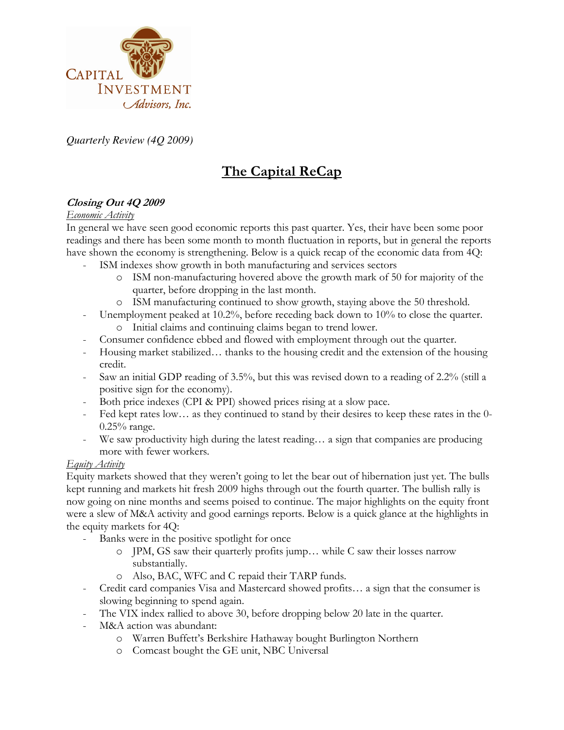

*Quarterly Review (4Q 2009)* 

# The Capital ReCap

# Closing Out 4Q 2009

## Economic Activity

In general we have seen good economic reports this past quarter. Yes, their have been some poor readings and there has been some month to month fluctuation in reports, but in general the reports have shown the economy is strengthening. Below is a quick recap of the economic data from 4Q:

- ISM indexes show growth in both manufacturing and services sectors
	- o ISM non-manufacturing hovered above the growth mark of 50 for majority of the quarter, before dropping in the last month.
	- o ISM manufacturing continued to show growth, staying above the 50 threshold.
- Unemployment peaked at 10.2%, before receding back down to  $10\%$  to close the quarter.
	- o Initial claims and continuing claims began to trend lower.
- Consumer confidence ebbed and flowed with employment through out the quarter.
- Housing market stabilized… thanks to the housing credit and the extension of the housing credit.
- Saw an initial GDP reading of 3.5%, but this was revised down to a reading of 2.2% (still a positive sign for the economy).
- Both price indexes (CPI & PPI) showed prices rising at a slow pace.
- Fed kept rates low... as they continued to stand by their desires to keep these rates in the 0-0.25% range.
- We saw productivity high during the latest reading… a sign that companies are producing more with fewer workers.

## Equity Activity

Equity markets showed that they weren't going to let the bear out of hibernation just yet. The bulls kept running and markets hit fresh 2009 highs through out the fourth quarter. The bullish rally is now going on nine months and seems poised to continue. The major highlights on the equity front were a slew of M&A activity and good earnings reports. Below is a quick glance at the highlights in the equity markets for 4Q:

- Banks were in the positive spotlight for once
	- o JPM, GS saw their quarterly profits jump… while C saw their losses narrow substantially.
	- o Also, BAC, WFC and C repaid their TARP funds.
- Credit card companies Visa and Mastercard showed profits… a sign that the consumer is slowing beginning to spend again.
- The VIX index rallied to above 30, before dropping below 20 late in the quarter.
- M&A action was abundant:
	- o Warren Buffett's Berkshire Hathaway bought Burlington Northern
	- o Comcast bought the GE unit, NBC Universal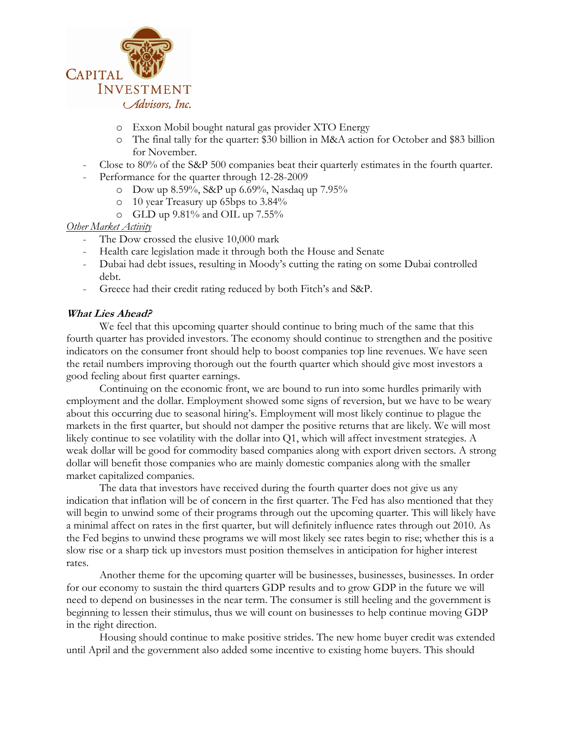

- o Exxon Mobil bought natural gas provider XTO Energy
- o The final tally for the quarter: \$30 billion in M&A action for October and \$83 billion for November.
- Close to 80% of the S&P 500 companies beat their quarterly estimates in the fourth quarter.
- Performance for the quarter through 12-28-2009
	- o Dow up 8.59%, S&P up 6.69%, Nasdaq up 7.95%
	- o 10 year Treasury up 65bps to 3.84%
	- o GLD up 9.81% and OIL up 7.55%

#### Other Market Activity

- The Dow crossed the elusive 10,000 mark
- Health care legislation made it through both the House and Senate
- Dubai had debt issues, resulting in Moody's cutting the rating on some Dubai controlled debt.
- Greece had their credit rating reduced by both Fitch's and S&P.

#### What Lies Ahead?

We feel that this upcoming quarter should continue to bring much of the same that this fourth quarter has provided investors. The economy should continue to strengthen and the positive indicators on the consumer front should help to boost companies top line revenues. We have seen the retail numbers improving thorough out the fourth quarter which should give most investors a good feeling about first quarter earnings.

Continuing on the economic front, we are bound to run into some hurdles primarily with employment and the dollar. Employment showed some signs of reversion, but we have to be weary about this occurring due to seasonal hiring's. Employment will most likely continue to plague the markets in the first quarter, but should not damper the positive returns that are likely. We will most likely continue to see volatility with the dollar into Q1, which will affect investment strategies. A weak dollar will be good for commodity based companies along with export driven sectors. A strong dollar will benefit those companies who are mainly domestic companies along with the smaller market capitalized companies.

The data that investors have received during the fourth quarter does not give us any indication that inflation will be of concern in the first quarter. The Fed has also mentioned that they will begin to unwind some of their programs through out the upcoming quarter. This will likely have a minimal affect on rates in the first quarter, but will definitely influence rates through out 2010. As the Fed begins to unwind these programs we will most likely see rates begin to rise; whether this is a slow rise or a sharp tick up investors must position themselves in anticipation for higher interest rates.

Another theme for the upcoming quarter will be businesses, businesses, businesses. In order for our economy to sustain the third quarters GDP results and to grow GDP in the future we will need to depend on businesses in the near term. The consumer is still heeling and the government is beginning to lessen their stimulus, thus we will count on businesses to help continue moving GDP in the right direction.

Housing should continue to make positive strides. The new home buyer credit was extended until April and the government also added some incentive to existing home buyers. This should